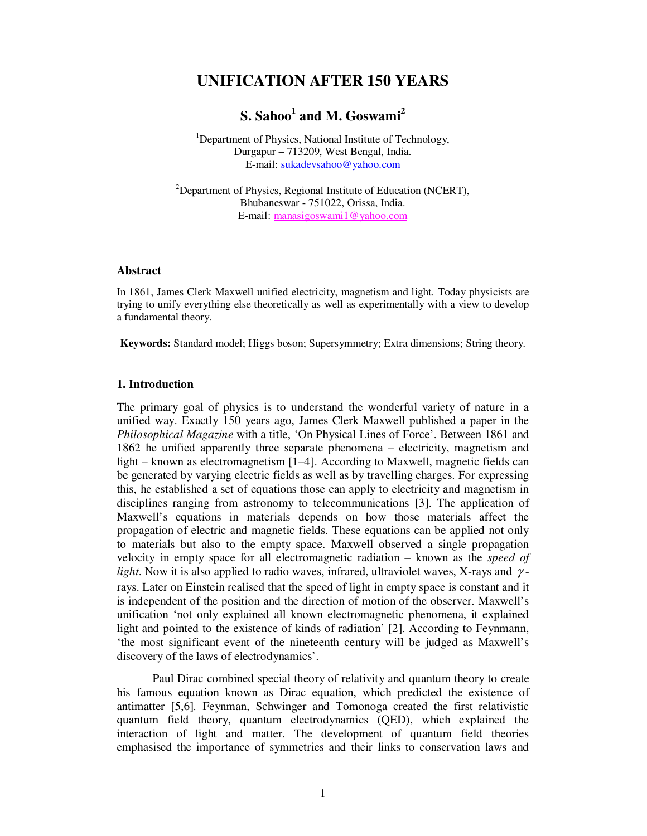# **UNIFICATION AFTER 150 YEARS**

# **S. Sahoo<sup>1</sup> and M. Goswami<sup>2</sup>**

<sup>1</sup>Department of Physics, National Institute of Technology, Durgapur – 713209, West Bengal, India. E-mail: sukadevsahoo@yahoo.com

 $2$ Department of Physics, Regional Institute of Education (NCERT), Bhubaneswar - 751022, Orissa, India. E-mail: manasigoswami1@yahoo.com

#### **Abstract**

In 1861, James Clerk Maxwell unified electricity, magnetism and light. Today physicists are trying to unify everything else theoretically as well as experimentally with a view to develop a fundamental theory.

**Keywords:** Standard model; Higgs boson; Supersymmetry; Extra dimensions; String theory.

## **1. Introduction**

The primary goal of physics is to understand the wonderful variety of nature in a unified way. Exactly 150 years ago, James Clerk Maxwell published a paper in the *Philosophical Magazine* with a title, 'On Physical Lines of Force'. Between 1861 and 1862 he unified apparently three separate phenomena – electricity, magnetism and light – known as electromagnetism [1–4]. According to Maxwell, magnetic fields can be generated by varying electric fields as well as by travelling charges. For expressing this, he established a set of equations those can apply to electricity and magnetism in disciplines ranging from astronomy to telecommunications [3]. The application of Maxwell's equations in materials depends on how those materials affect the propagation of electric and magnetic fields. These equations can be applied not only to materials but also to the empty space. Maxwell observed a single propagation velocity in empty space for all electromagnetic radiation – known as the *speed of light*. Now it is also applied to radio waves, infrared, ultraviolet waves, X-rays and γ rays. Later on Einstein realised that the speed of light in empty space is constant and it is independent of the position and the direction of motion of the observer. Maxwell's unification 'not only explained all known electromagnetic phenomena, it explained light and pointed to the existence of kinds of radiation' [2]. According to Feynmann, 'the most significant event of the nineteenth century will be judged as Maxwell's discovery of the laws of electrodynamics'.

Paul Dirac combined special theory of relativity and quantum theory to create his famous equation known as Dirac equation, which predicted the existence of antimatter [5,6]*.* Feynman, Schwinger and Tomonoga created the first relativistic quantum field theory, quantum electrodynamics (QED), which explained the interaction of light and matter. The development of quantum field theories emphasised the importance of symmetries and their links to conservation laws and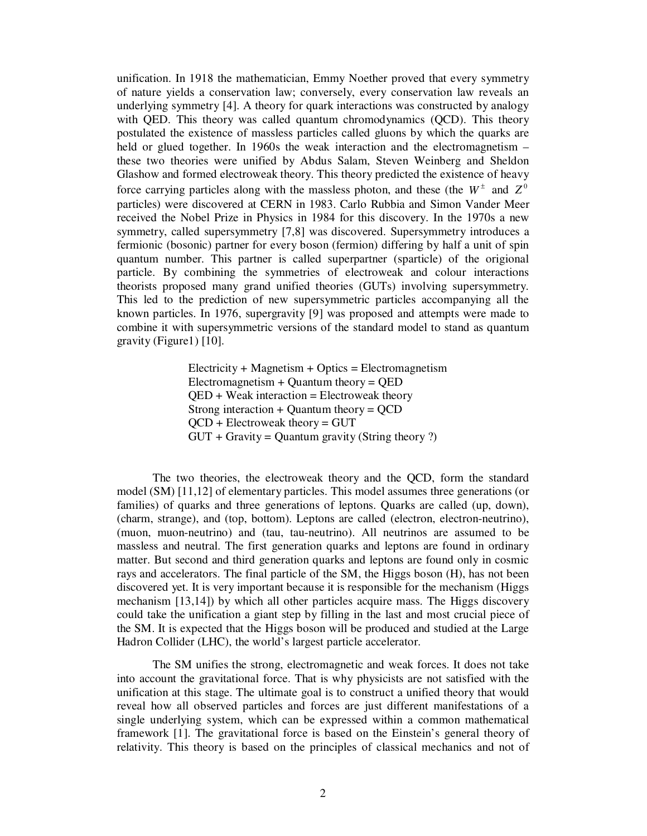unification. In 1918 the mathematician, Emmy Noether proved that every symmetry of nature yields a conservation law; conversely, every conservation law reveals an underlying symmetry [4]. A theory for quark interactions was constructed by analogy with QED. This theory was called quantum chromodynamics (QCD). This theory postulated the existence of massless particles called gluons by which the quarks are held or glued together. In 1960s the weak interaction and the electromagnetism – these two theories were unified by Abdus Salam, Steven Weinberg and Sheldon Glashow and formed electroweak theory. This theory predicted the existence of heavy force carrying particles along with the massless photon, and these (the  $W^{\pm}$  and  $Z^{0}$ particles) were discovered at CERN in 1983. Carlo Rubbia and Simon Vander Meer received the Nobel Prize in Physics in 1984 for this discovery. In the 1970s a new symmetry, called supersymmetry [7,8] was discovered. Supersymmetry introduces a fermionic (bosonic) partner for every boson (fermion) differing by half a unit of spin quantum number. This partner is called superpartner (sparticle) of the origional particle. By combining the symmetries of electroweak and colour interactions theorists proposed many grand unified theories (GUTs) involving supersymmetry. This led to the prediction of new supersymmetric particles accompanying all the known particles. In 1976, supergravity [9] was proposed and attempts were made to combine it with supersymmetric versions of the standard model to stand as quantum gravity (Figure1) [10].

> $Electricity + Magnetism + Optics = Electromagnetism$  $Electromagnetism + Quantum theory = QED$  $QED + Weak interaction = Electroweak theory$ Strong interaction  $+$  Quantum theory  $=$  QCD  $QCD$  + Electroweak theory = GUT  $GUT + Gravity = Quantum gravity (String theory ?)$

The two theories, the electroweak theory and the QCD, form the standard model (SM) [11,12] of elementary particles. This model assumes three generations (or families) of quarks and three generations of leptons. Quarks are called (up, down), (charm, strange), and (top, bottom). Leptons are called (electron, electron-neutrino), (muon, muon-neutrino) and (tau, tau-neutrino). All neutrinos are assumed to be massless and neutral. The first generation quarks and leptons are found in ordinary matter. But second and third generation quarks and leptons are found only in cosmic rays and accelerators. The final particle of the SM, the Higgs boson (H), has not been discovered yet. It is very important because it is responsible for the mechanism (Higgs mechanism [13,14]) by which all other particles acquire mass. The Higgs discovery could take the unification a giant step by filling in the last and most crucial piece of the SM. It is expected that the Higgs boson will be produced and studied at the Large Hadron Collider (LHC), the world's largest particle accelerator.

The SM unifies the strong, electromagnetic and weak forces. It does not take into account the gravitational force. That is why physicists are not satisfied with the unification at this stage. The ultimate goal is to construct a unified theory that would reveal how all observed particles and forces are just different manifestations of a single underlying system, which can be expressed within a common mathematical framework [1]. The gravitational force is based on the Einstein's general theory of relativity. This theory is based on the principles of classical mechanics and not of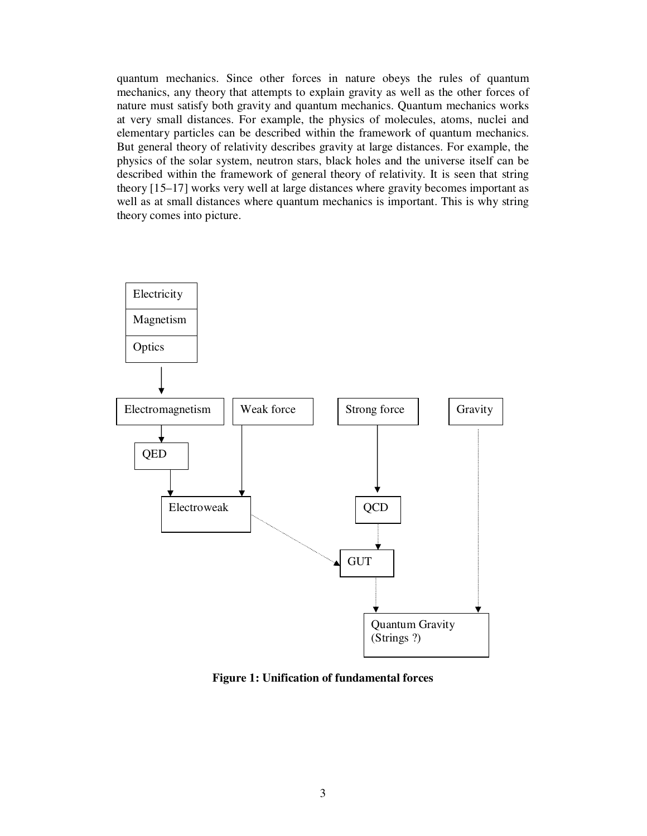quantum mechanics. Since other forces in nature obeys the rules of quantum mechanics, any theory that attempts to explain gravity as well as the other forces of nature must satisfy both gravity and quantum mechanics. Quantum mechanics works at very small distances. For example, the physics of molecules, atoms, nuclei and elementary particles can be described within the framework of quantum mechanics. But general theory of relativity describes gravity at large distances. For example, the physics of the solar system, neutron stars, black holes and the universe itself can be described within the framework of general theory of relativity. It is seen that string theory [15–17] works very well at large distances where gravity becomes important as well as at small distances where quantum mechanics is important. This is why string theory comes into picture.



**Figure 1: Unification of fundamental forces**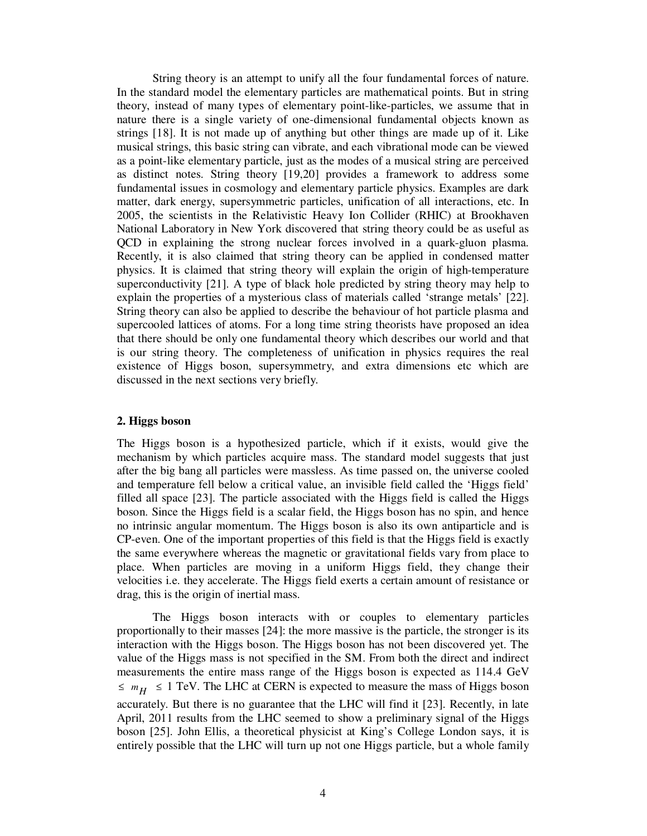String theory is an attempt to unify all the four fundamental forces of nature. In the standard model the elementary particles are mathematical points. But in string theory, instead of many types of elementary point-like-particles, we assume that in nature there is a single variety of one-dimensional fundamental objects known as strings [18]. It is not made up of anything but other things are made up of it. Like musical strings, this basic string can vibrate, and each vibrational mode can be viewed as a point-like elementary particle, just as the modes of a musical string are perceived as distinct notes. String theory [19,20] provides a framework to address some fundamental issues in cosmology and elementary particle physics. Examples are dark matter, dark energy, supersymmetric particles, unification of all interactions, etc. In 2005, the scientists in the Relativistic Heavy Ion Collider (RHIC) at Brookhaven National Laboratory in New York discovered that string theory could be as useful as QCD in explaining the strong nuclear forces involved in a quark-gluon plasma. Recently, it is also claimed that string theory can be applied in condensed matter physics. It is claimed that string theory will explain the origin of high-temperature superconductivity [21]. A type of black hole predicted by string theory may help to explain the properties of a mysterious class of materials called 'strange metals' [22]. String theory can also be applied to describe the behaviour of hot particle plasma and supercooled lattices of atoms. For a long time string theorists have proposed an idea that there should be only one fundamental theory which describes our world and that is our string theory. The completeness of unification in physics requires the real existence of Higgs boson, supersymmetry, and extra dimensions etc which are discussed in the next sections very briefly.

#### **2. Higgs boson**

The Higgs boson is a hypothesized particle, which if it exists, would give the mechanism by which particles acquire mass. The standard model suggests that just after the big bang all particles were massless. As time passed on, the universe cooled and temperature fell below a critical value, an invisible field called the 'Higgs field' filled all space [23]. The particle associated with the Higgs field is called the Higgs boson. Since the Higgs field is a scalar field, the Higgs boson has no spin, and hence no intrinsic angular momentum. The Higgs boson is also its own antiparticle and is CP-even. One of the important properties of this field is that the Higgs field is exactly the same everywhere whereas the magnetic or gravitational fields vary from place to place. When particles are moving in a uniform Higgs field, they change their velocities i.e. they accelerate. The Higgs field exerts a certain amount of resistance or drag, this is the origin of inertial mass.

The Higgs boson interacts with or couples to elementary particles proportionally to their masses [24]: the more massive is the particle, the stronger is its interaction with the Higgs boson. The Higgs boson has not been discovered yet. The value of the Higgs mass is not specified in the SM. From both the direct and indirect measurements the entire mass range of the Higgs boson is expected as 114.4 GeV  $\leq m_H \leq 1$  TeV. The LHC at CERN is expected to measure the mass of Higgs boson accurately. But there is no guarantee that the LHC will find it [23]. Recently, in late April, 2011 results from the LHC seemed to show a preliminary signal of the Higgs boson [25]. John Ellis, a theoretical physicist at King's College London says, it is entirely possible that the LHC will turn up not one Higgs particle, but a whole family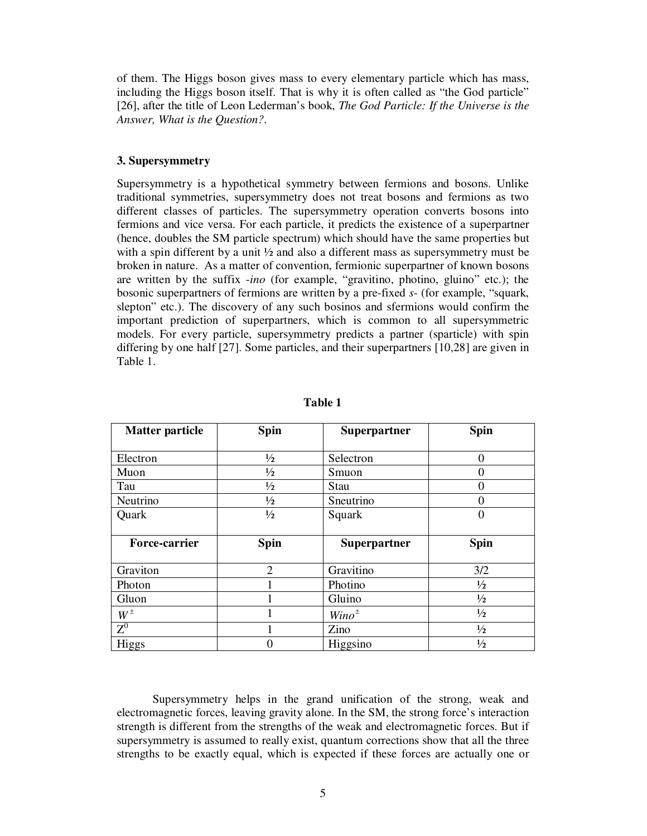of them. The Higgs boson gives mass to every elementary particle which has mass, including the Higgs boson itself. That is why it is often called as "the God particle" [26], after the title of Leon Lederman's book, *The God Particle: If the Universe is the Answer, What is the Question?*.

#### **3. Supersymmetry**

Supersymmetry is a hypothetical symmetry between fermions and bosons. Unlike traditional symmetries, supersymmetry does not treat bosons and fermions as two different classes of particles. The supersymmetry operation converts bosons into fermions and vice versa. For each particle, it predicts the existence of a superpartner (hence, doubles the SM particle spectrum) which should have the same properties but with a spin different by a unit  $\frac{1}{2}$  and also a different mass as supersymmetry must be broken in nature. As a matter of convention, fermionic superpartner of known bosons are written by the suffix -*ino* (for example, "gravitino, photino, gluino" etc.); the bosonic superpartners of fermions are written by a pre-fixed *s*- (for example, "squark, slepton" etc.). The discovery of any such bosinos and sfermions would confirm the important prediction of superpartners, which is common to all supersymmetric models. For every particle, supersymmetry predicts a partner (sparticle) with spin differing by one half [27]. Some particles, and their superpartners [10,28] are given in Table 1.

| <b>Matter particle</b> | <b>Spin</b>   | Superpartner | <b>Spin</b>   |
|------------------------|---------------|--------------|---------------|
|                        |               |              |               |
| Electron               | $\frac{1}{2}$ | Selectron    | 0             |
| Muon                   | $\frac{1}{2}$ | Smuon        | 0             |
| Tau                    | $\frac{1}{2}$ | Stau         |               |
| Neutrino               | $\frac{1}{2}$ | Sneutrino    | 0             |
| Quark                  | $\frac{1}{2}$ | Squark       | 0             |
|                        |               |              |               |
| <b>Force-carrier</b>   | Spin          | Superpartner | Spin          |
|                        |               |              |               |
| Graviton               | 2             | Gravitino    | 3/2           |
|                        |               |              |               |
| Photon                 |               | Photino      | $\frac{1}{2}$ |
| Gluon                  |               | Gluino       | $\frac{1}{2}$ |
| $W^{\pm}$              |               | $Wino^{\pm}$ | $\frac{1}{2}$ |
| ${\rm Z}^0$            |               | Zino         | $\frac{1}{2}$ |

**Table 1** 

Supersymmetry helps in the grand unification of the strong, weak and electromagnetic forces, leaving gravity alone. In the SM, the strong force's interaction strength is different from the strengths of the weak and electromagnetic forces. But if supersymmetry is assumed to really exist, quantum corrections show that all the three strengths to be exactly equal, which is expected if these forces are actually one or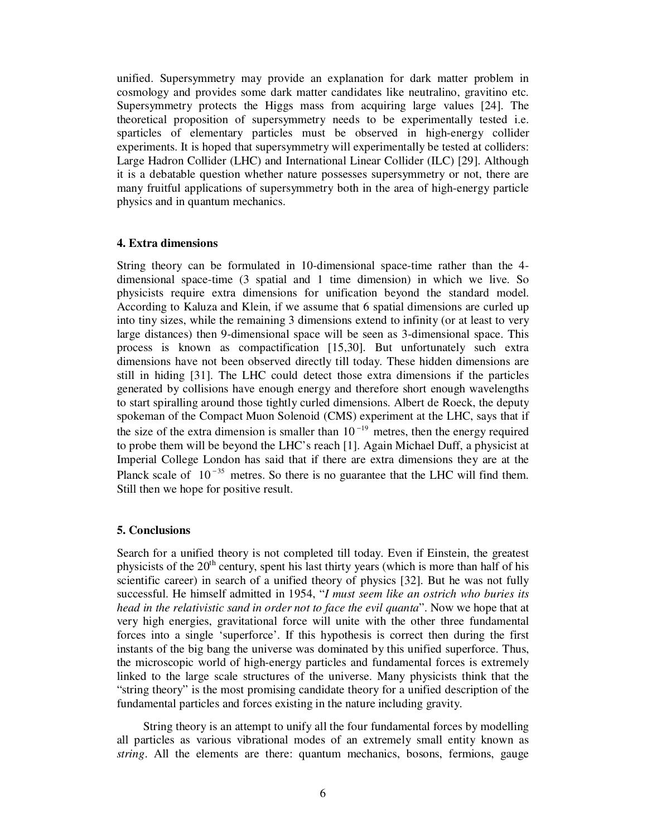unified. Supersymmetry may provide an explanation for dark matter problem in cosmology and provides some dark matter candidates like neutralino, gravitino etc. Supersymmetry protects the Higgs mass from acquiring large values [24]. The theoretical proposition of supersymmetry needs to be experimentally tested i.e. sparticles of elementary particles must be observed in high-energy collider experiments. It is hoped that supersymmetry will experimentally be tested at colliders: Large Hadron Collider (LHC) and International Linear Collider (ILC) [29]. Although it is a debatable question whether nature possesses supersymmetry or not, there are many fruitful applications of supersymmetry both in the area of high-energy particle physics and in quantum mechanics.

## **4. Extra dimensions**

String theory can be formulated in 10-dimensional space-time rather than the 4 dimensional space-time (3 spatial and 1 time dimension) in which we live. So physicists require extra dimensions for unification beyond the standard model. According to Kaluza and Klein, if we assume that 6 spatial dimensions are curled up into tiny sizes, while the remaining 3 dimensions extend to infinity (or at least to very large distances) then 9-dimensional space will be seen as 3-dimensional space. This process is known as compactification [15,30]. But unfortunately such extra dimensions have not been observed directly till today. These hidden dimensions are still in hiding [31]. The LHC could detect those extra dimensions if the particles generated by collisions have enough energy and therefore short enough wavelengths to start spiralling around those tightly curled dimensions. Albert de Roeck, the deputy spokeman of the Compact Muon Solenoid (CMS) experiment at the LHC, says that if the size of the extra dimension is smaller than  $10^{-19}$  metres, then the energy required to probe them will be beyond the LHC's reach [1]. Again Michael Duff, a physicist at Imperial College London has said that if there are extra dimensions they are at the Planck scale of  $10^{-35}$  metres. So there is no guarantee that the LHC will find them. Still then we hope for positive result.

#### **5. Conclusions**

Search for a unified theory is not completed till today. Even if Einstein, the greatest physicists of the  $20<sup>th</sup>$  century, spent his last thirty years (which is more than half of his scientific career) in search of a unified theory of physics [32]. But he was not fully successful. He himself admitted in 1954, "*I must seem like an ostrich who buries its head in the relativistic sand in order not to face the evil quanta*". Now we hope that at very high energies, gravitational force will unite with the other three fundamental forces into a single 'superforce'. If this hypothesis is correct then during the first instants of the big bang the universe was dominated by this unified superforce. Thus, the microscopic world of high-energy particles and fundamental forces is extremely linked to the large scale structures of the universe. Many physicists think that the "string theory" is the most promising candidate theory for a unified description of the fundamental particles and forces existing in the nature including gravity.

 String theory is an attempt to unify all the four fundamental forces by modelling all particles as various vibrational modes of an extremely small entity known as *string*. All the elements are there: quantum mechanics, bosons, fermions, gauge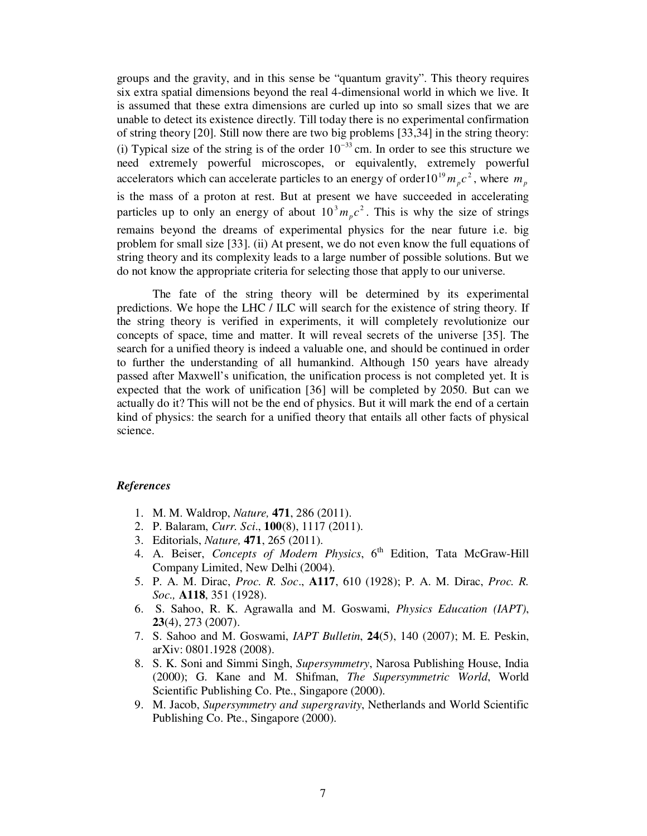groups and the gravity, and in this sense be "quantum gravity". This theory requires six extra spatial dimensions beyond the real 4-dimensional world in which we live. It is assumed that these extra dimensions are curled up into so small sizes that we are unable to detect its existence directly. Till today there is no experimental confirmation of string theory [20]. Still now there are two big problems [33,34] in the string theory: (i) Typical size of the string is of the order  $10^{-33}$  cm. In order to see this structure we need extremely powerful microscopes, or equivalently, extremely powerful accelerators which can accelerate particles to an energy of order  $10^{19} m_p c^2$ , where  $m_p$ is the mass of a proton at rest. But at present we have succeeded in accelerating particles up to only an energy of about  $10<sup>3</sup> m<sub>p</sub> c<sup>2</sup>$ . This is why the size of strings remains beyond the dreams of experimental physics for the near future i.e. big problem for small size [33]. (ii) At present, we do not even know the full equations of string theory and its complexity leads to a large number of possible solutions. But we do not know the appropriate criteria for selecting those that apply to our universe.

The fate of the string theory will be determined by its experimental predictions. We hope the LHC / ILC will search for the existence of string theory. If the string theory is verified in experiments, it will completely revolutionize our concepts of space, time and matter. It will reveal secrets of the universe [35]. The search for a unified theory is indeed a valuable one, and should be continued in order to further the understanding of all humankind. Although 150 years have already passed after Maxwell's unification, the unification process is not completed yet. It is expected that the work of unification [36] will be completed by 2050. But can we actually do it? This will not be the end of physics. But it will mark the end of a certain kind of physics: the search for a unified theory that entails all other facts of physical science.

#### *References*

- 1. M. M. Waldrop, *Nature,* **471**, 286 (2011).
- 2. P. Balaram, *Curr. Sci*., **100**(8), 1117 (2011).
- 3. Editorials, *Nature,* **471**, 265 (2011).
- 4. A. Beiser, *Concepts of Modern Physics*, 6<sup>th</sup> Edition, Tata McGraw-Hill Company Limited, New Delhi (2004).
- 5. P. A. M. Dirac, *Proc. R. Soc*., **A117**, 610 (1928); P. A. M. Dirac, *Proc. R. Soc.,* **A118**, 351 (1928).
- 6. S. Sahoo, R. K. Agrawalla and M. Goswami, *Physics Education (IAPT)*, **23**(4), 273 (2007).
- 7. S. Sahoo and M. Goswami, *IAPT Bulletin*, **24**(5), 140 (2007); M. E. Peskin, arXiv: 0801.1928 (2008).
- 8. S. K. Soni and Simmi Singh, *Supersymmetry*, Narosa Publishing House, India (2000); G. Kane and M. Shifman, *The Supersymmetric World*, World Scientific Publishing Co. Pte., Singapore (2000).
- 9. M. Jacob, *Supersymmetry and supergravity*, Netherlands and World Scientific Publishing Co. Pte., Singapore (2000).